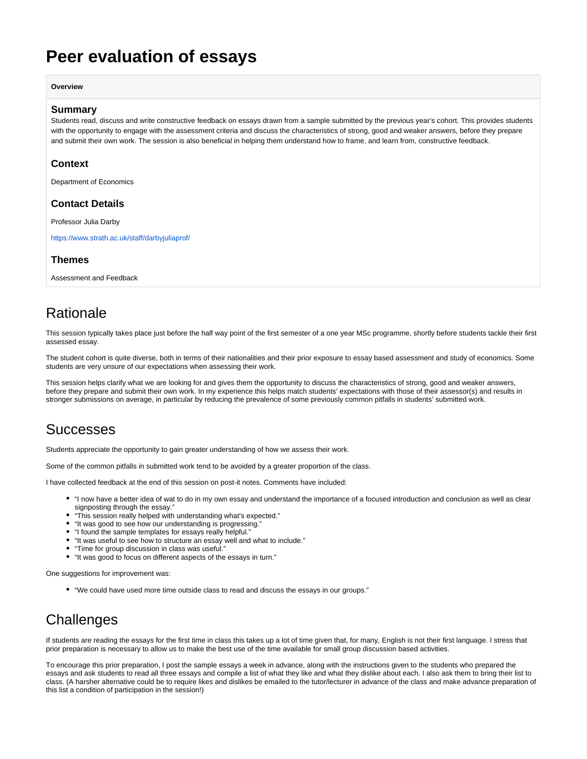# <span id="page-0-0"></span>**Peer evaluation of essays**

**Overview**

#### **Summary**

Students read, discuss and write constructive feedback on essays drawn from a sample submitted by the previous year's cohort. This provides students with the opportunity to engage with the assessment criteria and discuss the characteristics of strong, good and weaker answers, before they prepare and submit their own work. The session is also beneficial in helping them understand how to frame, and learn from, constructive feedback.

#### **Context**

Department of Economics

### **Contact Details**

Professor Julia Darby

<https://www.strath.ac.uk/staff/darbyjuliaprof/>

### **Themes**

Assessment and Feedback

## **Rationale**

This session typically takes place just before the half way point of the first semester of a one year MSc programme, shortly before students tackle their first assessed essay.

The student cohort is quite diverse, both in terms of their nationalities and their prior exposure to essay based assessment and study of economics. Some students are very unsure of our expectations when assessing their work.

This session helps clarify what we are looking for and gives them the opportunity to discuss the characteristics of strong, good and weaker answers, before they prepare and submit their own work. In my experience this helps match students' expectations with those of their assessor(s) and results in stronger submissions on average, in particular by reducing the prevalence of some previously common pitfalls in students' submitted work.

### **Successes**

Students appreciate the opportunity to gain greater understanding of how we assess their work.

Some of the common pitfalls in submitted work tend to be avoided by a greater proportion of the class.

I have collected feedback at the end of this session on post-it notes. Comments have included:

- "I now have a better idea of wat to do in my own essay and understand the importance of a focused introduction and conclusion as well as clear signposting through the essay."
- "This session really helped with understanding what's expected."
- "It was good to see how our understanding is progressing."
- "I found the sample templates for essays really helpful."
- "It was useful to see how to structure an essay well and what to include."
- "Time for group discussion in class was useful."
- "It was good to focus on different aspects of the essays in turn."

One suggestions for improvement was:

"We could have used more time outside class to read and discuss the essays in our groups."

## **Challenges**

If students are reading the essays for the first time in class this takes up a lot of time given that, for many, English is not their first language. I stress that prior preparation is necessary to allow us to make the best use of the time available for small group discussion based activities.

To encourage this prior preparation, I post the sample essays a week in advance, along with the instructions given to the students who prepared the essays and ask students to read all three essays and compile a list of what they like and what they dislike about each. I also ask them to bring their list to class. (A harsher alternative could be to require likes and dislikes be emailed to the tutor/lecturer in advance of the class and make advance preparation of this list a condition of participation in the session!)